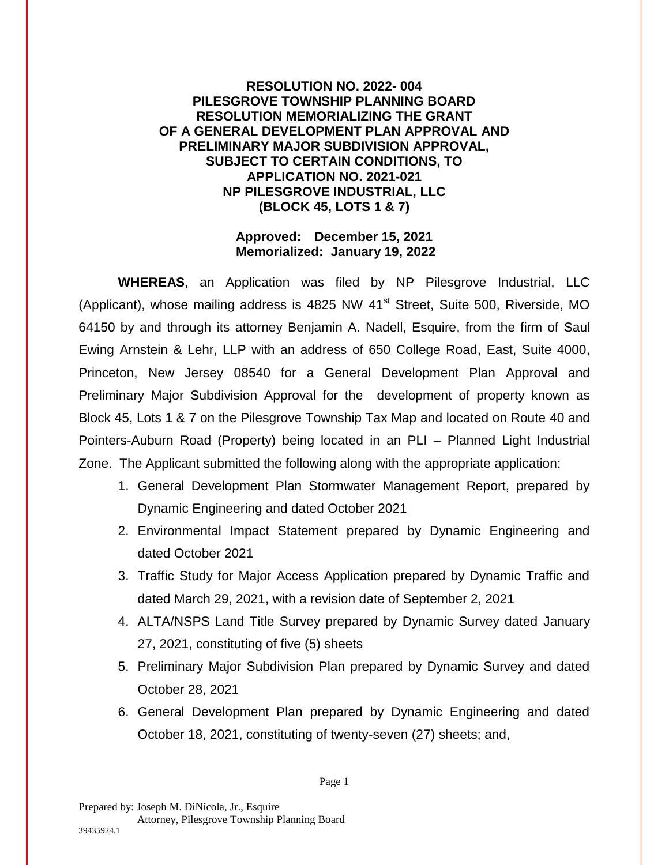### **RESOLUTION NO. 2022- 004 PILESGROVE TOWNSHIP PLANNING BOARD RESOLUTION MEMORIALIZING THE GRANT OF A GENERAL DEVELOPMENT PLAN APPROVAL AND PRELIMINARY MAJOR SUBDIVISION APPROVAL, SUBJECT TO CERTAIN CONDITIONS, TO APPLICATION NO. 2021-021 NP PILESGROVE INDUSTRIAL, LLC (BLOCK 45, LOTS 1 & 7)**

#### **Approved: December 15, 2021 Memorialized: January 19, 2022**

**WHEREAS**, an Application was filed by NP Pilesgrove Industrial, LLC (Applicant), whose mailing address is 4825 NW  $41<sup>st</sup>$  Street, Suite 500, Riverside, MO 64150 by and through its attorney Benjamin A. Nadell, Esquire, from the firm of Saul Ewing Arnstein & Lehr, LLP with an address of 650 College Road, East, Suite 4000, Princeton, New Jersey 08540 for a General Development Plan Approval and Preliminary Major Subdivision Approval for the development of property known as Block 45, Lots 1 & 7 on the Pilesgrove Township Tax Map and located on Route 40 and Pointers-Auburn Road (Property) being located in an PLI – Planned Light Industrial Zone. The Applicant submitted the following along with the appropriate application:

- 1. General Development Plan Stormwater Management Report, prepared by Dynamic Engineering and dated October 2021
- 2. Environmental Impact Statement prepared by Dynamic Engineering and dated October 2021
- 3. Traffic Study for Major Access Application prepared by Dynamic Traffic and dated March 29, 2021, with a revision date of September 2, 2021
- 4. ALTA/NSPS Land Title Survey prepared by Dynamic Survey dated January 27, 2021, constituting of five (5) sheets
- 5. Preliminary Major Subdivision Plan prepared by Dynamic Survey and dated October 28, 2021
- 6. General Development Plan prepared by Dynamic Engineering and dated October 18, 2021, constituting of twenty-seven (27) sheets; and,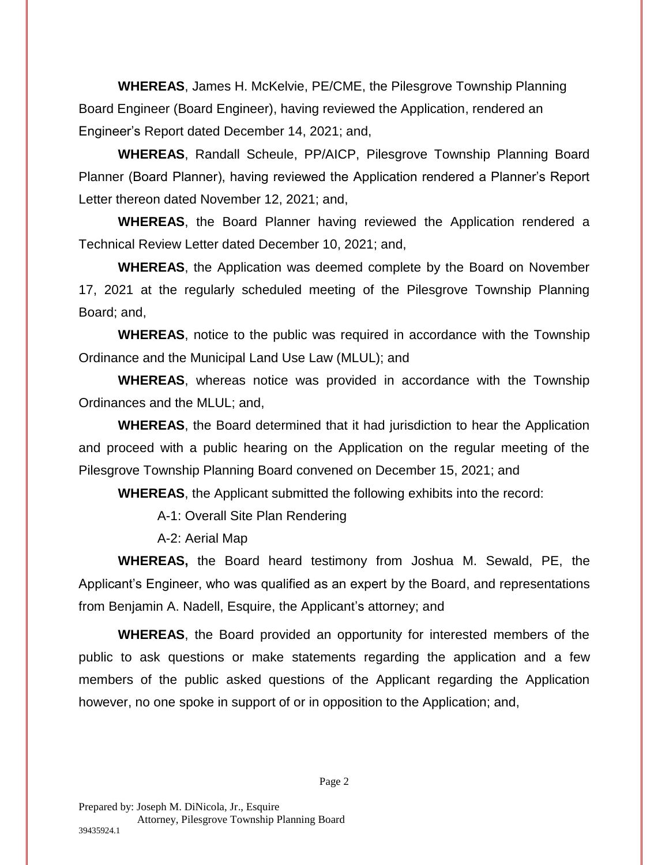**WHEREAS**, James H. McKelvie, PE/CME, the Pilesgrove Township Planning Board Engineer (Board Engineer), having reviewed the Application, rendered an Engineer's Report dated December 14, 2021; and,

**WHEREAS**, Randall Scheule, PP/AICP, Pilesgrove Township Planning Board Planner (Board Planner), having reviewed the Application rendered a Planner's Report Letter thereon dated November 12, 2021; and,

**WHEREAS**, the Board Planner having reviewed the Application rendered a Technical Review Letter dated December 10, 2021; and,

**WHEREAS**, the Application was deemed complete by the Board on November 17, 2021 at the regularly scheduled meeting of the Pilesgrove Township Planning Board; and,

**WHEREAS**, notice to the public was required in accordance with the Township Ordinance and the Municipal Land Use Law (MLUL); and

**WHEREAS**, whereas notice was provided in accordance with the Township Ordinances and the MLUL; and,

**WHEREAS**, the Board determined that it had jurisdiction to hear the Application and proceed with a public hearing on the Application on the regular meeting of the Pilesgrove Township Planning Board convened on December 15, 2021; and

**WHEREAS**, the Applicant submitted the following exhibits into the record:

A-1: Overall Site Plan Rendering

A-2: Aerial Map

**WHEREAS,** the Board heard testimony from Joshua M. Sewald, PE, the Applicant's Engineer, who was qualified as an expert by the Board, and representations from Benjamin A. Nadell, Esquire, the Applicant's attorney; and

**WHEREAS**, the Board provided an opportunity for interested members of the public to ask questions or make statements regarding the application and a few members of the public asked questions of the Applicant regarding the Application however, no one spoke in support of or in opposition to the Application; and,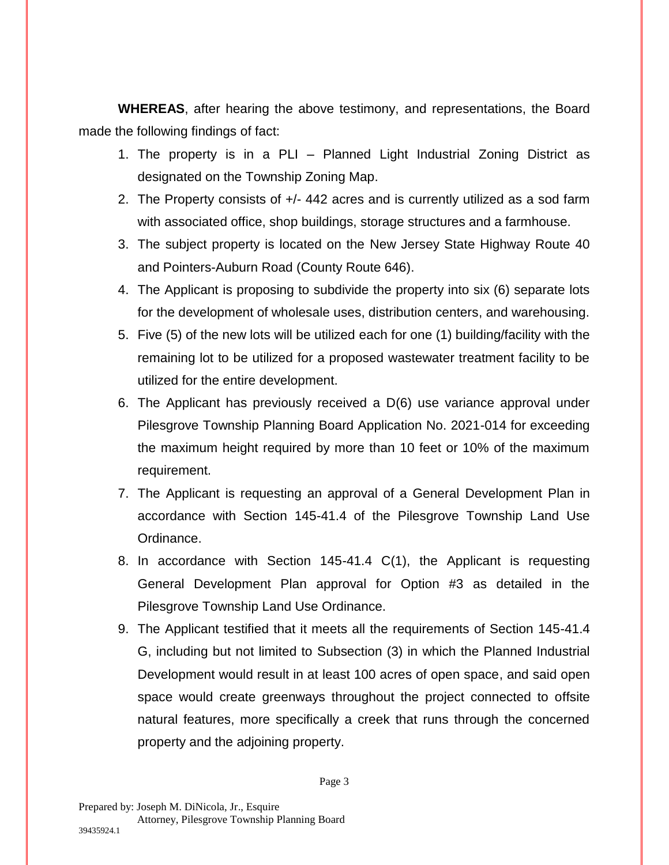**WHEREAS**, after hearing the above testimony, and representations, the Board made the following findings of fact:

- 1. The property is in a PLI Planned Light Industrial Zoning District as designated on the Township Zoning Map.
- 2. The Property consists of +/- 442 acres and is currently utilized as a sod farm with associated office, shop buildings, storage structures and a farmhouse.
- 3. The subject property is located on the New Jersey State Highway Route 40 and Pointers-Auburn Road (County Route 646).
- 4. The Applicant is proposing to subdivide the property into six (6) separate lots for the development of wholesale uses, distribution centers, and warehousing.
- 5. Five (5) of the new lots will be utilized each for one (1) building/facility with the remaining lot to be utilized for a proposed wastewater treatment facility to be utilized for the entire development.
- 6. The Applicant has previously received a D(6) use variance approval under Pilesgrove Township Planning Board Application No. 2021-014 for exceeding the maximum height required by more than 10 feet or 10% of the maximum requirement.
- 7. The Applicant is requesting an approval of a General Development Plan in accordance with Section 145-41.4 of the Pilesgrove Township Land Use Ordinance.
- 8. In accordance with Section 145-41.4 C(1), the Applicant is requesting General Development Plan approval for Option #3 as detailed in the Pilesgrove Township Land Use Ordinance.
- 9. The Applicant testified that it meets all the requirements of Section 145-41.4 G, including but not limited to Subsection (3) in which the Planned Industrial Development would result in at least 100 acres of open space, and said open space would create greenways throughout the project connected to offsite natural features, more specifically a creek that runs through the concerned property and the adjoining property.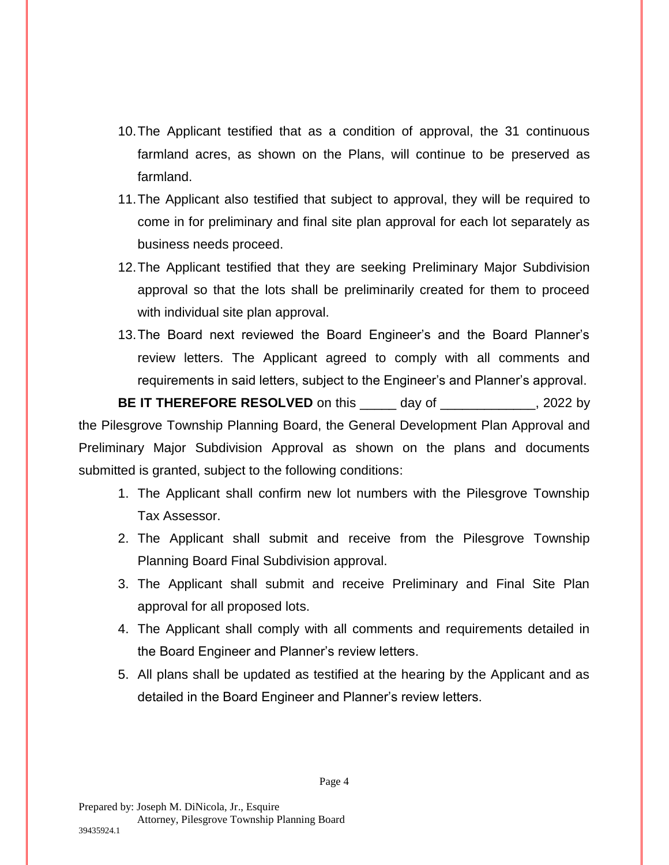- 10.The Applicant testified that as a condition of approval, the 31 continuous farmland acres, as shown on the Plans, will continue to be preserved as farmland.
- 11.The Applicant also testified that subject to approval, they will be required to come in for preliminary and final site plan approval for each lot separately as business needs proceed.
- 12.The Applicant testified that they are seeking Preliminary Major Subdivision approval so that the lots shall be preliminarily created for them to proceed with individual site plan approval.
- 13.The Board next reviewed the Board Engineer's and the Board Planner's review letters. The Applicant agreed to comply with all comments and requirements in said letters, subject to the Engineer's and Planner's approval.

**BE IT THEREFORE RESOLVED** on this day of the same of the same of the same of the same of the same of the same of the same of the same of the same of the same of the same of the same of the same of the same of the same of the Pilesgrove Township Planning Board, the General Development Plan Approval and Preliminary Major Subdivision Approval as shown on the plans and documents submitted is granted, subject to the following conditions:

- 1. The Applicant shall confirm new lot numbers with the Pilesgrove Township Tax Assessor.
- 2. The Applicant shall submit and receive from the Pilesgrove Township Planning Board Final Subdivision approval.
- 3. The Applicant shall submit and receive Preliminary and Final Site Plan approval for all proposed lots.
- 4. The Applicant shall comply with all comments and requirements detailed in the Board Engineer and Planner's review letters.
- 5. All plans shall be updated as testified at the hearing by the Applicant and as detailed in the Board Engineer and Planner's review letters.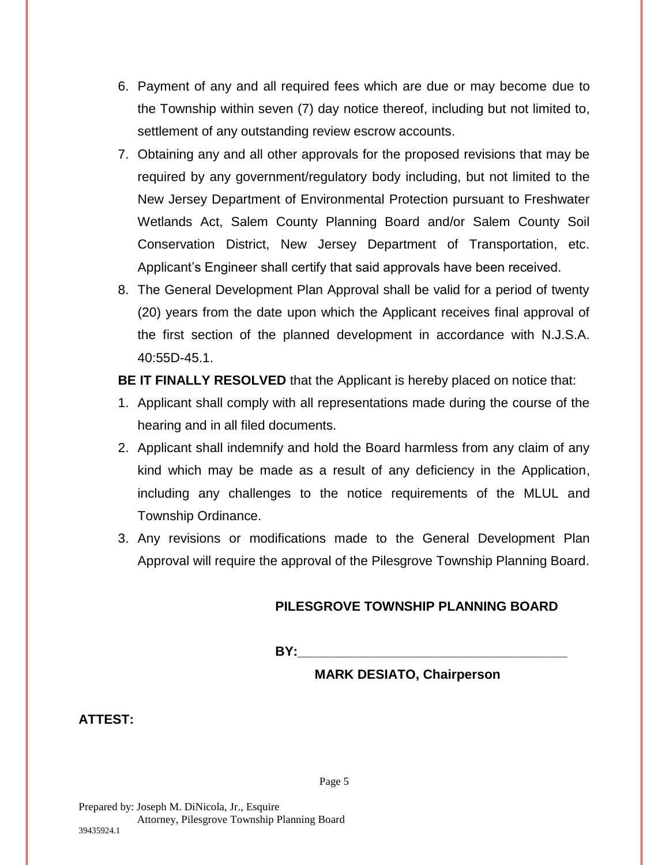- 6. Payment of any and all required fees which are due or may become due to the Township within seven (7) day notice thereof, including but not limited to, settlement of any outstanding review escrow accounts.
- 7. Obtaining any and all other approvals for the proposed revisions that may be required by any government/regulatory body including, but not limited to the New Jersey Department of Environmental Protection pursuant to Freshwater Wetlands Act, Salem County Planning Board and/or Salem County Soil Conservation District, New Jersey Department of Transportation, etc. Applicant's Engineer shall certify that said approvals have been received.
- 8. The General Development Plan Approval shall be valid for a period of twenty (20) years from the date upon which the Applicant receives final approval of the first section of the planned development in accordance with N.J.S.A. 40:55D-45.1.

**BE IT FINALLY RESOLVED** that the Applicant is hereby placed on notice that:

- 1. Applicant shall comply with all representations made during the course of the hearing and in all filed documents.
- 2. Applicant shall indemnify and hold the Board harmless from any claim of any kind which may be made as a result of any deficiency in the Application, including any challenges to the notice requirements of the MLUL and Township Ordinance.
- 3. Any revisions or modifications made to the General Development Plan Approval will require the approval of the Pilesgrove Township Planning Board.

# **PILESGROVE TOWNSHIP PLANNING BOARD**

**BY:** 

**MARK DESIATO, Chairperson**

# **ATTEST:**